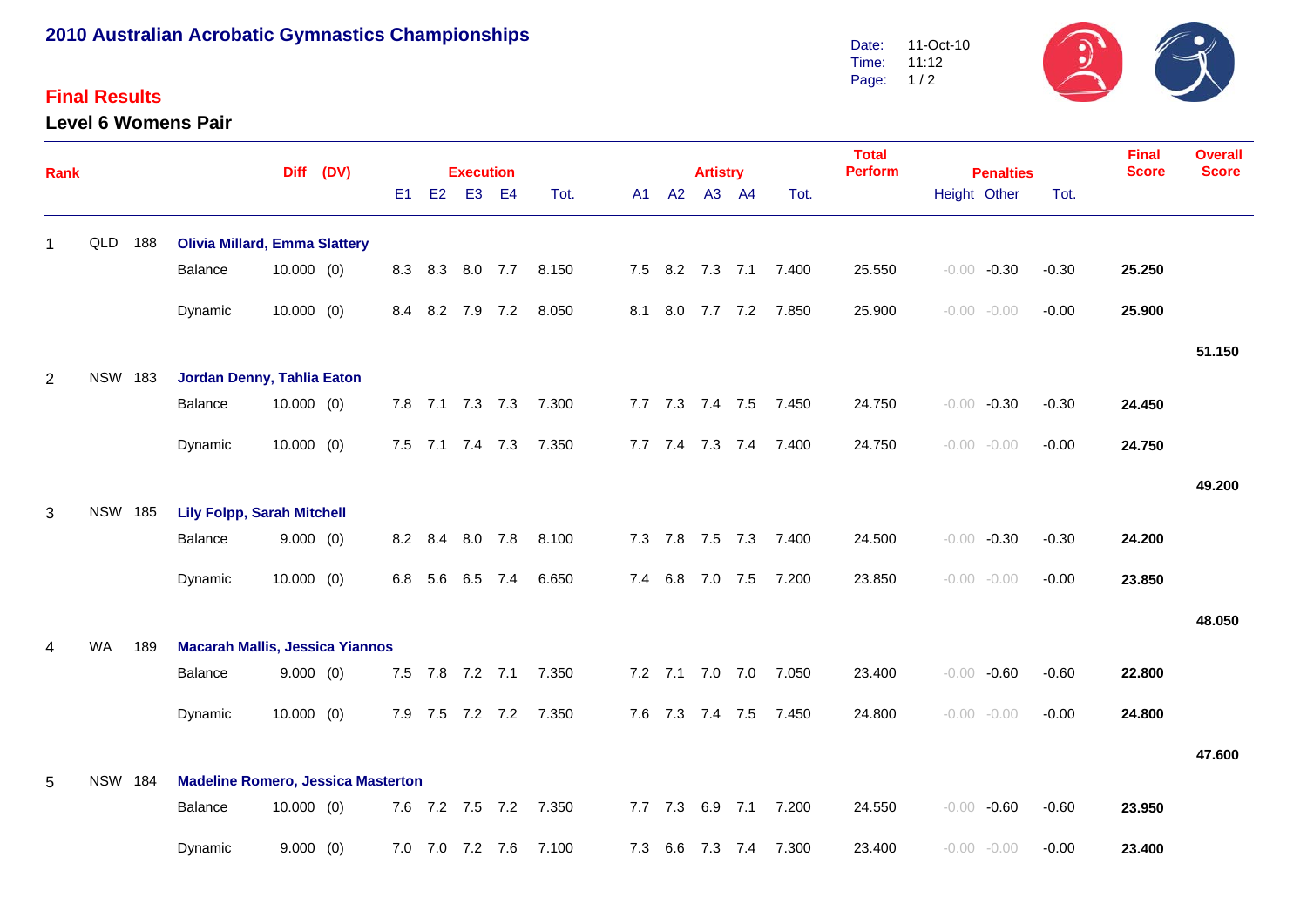## **2010 Australian Acrobatic Gymnastics Championships**

## **Final Results**

**Level 6 Womens Pair**



| Rank           |                |     |                                           |              | Diff (DV) |                |    | <b>Execution</b> |                 |                       |             | <b>Artistry</b> |                 |                       | <b>Total</b><br><b>Perform</b> | <b>Penalties</b> |                |         | <b>Final</b><br><b>Score</b> | <b>Overall</b><br><b>Score</b> |
|----------------|----------------|-----|-------------------------------------------|--------------|-----------|----------------|----|------------------|-----------------|-----------------------|-------------|-----------------|-----------------|-----------------------|--------------------------------|------------------|----------------|---------|------------------------------|--------------------------------|
|                |                |     |                                           |              |           | E <sub>1</sub> | E2 |                  | E3 E4           | Tot.                  |             | A1 A2 A3 A4     |                 | Tot.                  |                                |                  | Height Other   | Tot.    |                              |                                |
|                | QLD 188        |     | <b>Olivia Millard, Emma Slattery</b>      |              |           |                |    |                  |                 |                       |             |                 |                 |                       |                                |                  |                |         |                              |                                |
|                |                |     | Balance                                   | $10.000$ (0) |           |                |    | 8.3 8.3 8.0 7.7  |                 | 8.150                 |             |                 |                 | 7.5 8.2 7.3 7.1 7.400 | 25.550                         |                  | $-0.00 -0.30$  | $-0.30$ | 25.250                       |                                |
|                |                |     | Dynamic                                   | $10.000$ (0) |           |                |    | 8.4 8.2 7.9 7.2  |                 | 8.050                 |             |                 |                 | 8.1 8.0 7.7 7.2 7.850 | 25.900                         |                  | $-0.00 - 0.00$ | $-0.00$ | 25.900                       |                                |
|                |                |     |                                           |              |           |                |    |                  |                 |                       |             |                 |                 |                       |                                |                  |                |         |                              | 51.150                         |
| $\overline{2}$ | <b>NSW 183</b> |     | Jordan Denny, Tahlia Eaton                |              |           |                |    |                  |                 |                       |             |                 |                 |                       |                                |                  |                |         |                              |                                |
|                |                |     | Balance                                   | $10.000$ (0) |           |                |    | 7.8 7.1 7.3 7.3  |                 | 7.300                 |             |                 |                 | 7.7 7.3 7.4 7.5 7.450 | 24.750                         |                  | $-0.00 -0.30$  | $-0.30$ | 24.450                       |                                |
|                |                |     | Dynamic                                   | $10.000$ (0) |           |                |    | 7.5 7.1 7.4 7.3  |                 | 7.350                 |             |                 |                 | 7.7 7.4 7.3 7.4 7.400 | 24.750                         |                  | $-0.00 - 0.00$ | $-0.00$ | 24.750                       |                                |
|                |                |     |                                           |              |           |                |    |                  |                 |                       |             |                 |                 |                       |                                |                  |                |         |                              | 49.200                         |
| 3              | <b>NSW 185</b> |     | <b>Lily Folpp, Sarah Mitchell</b>         |              |           |                |    |                  |                 |                       |             |                 |                 |                       |                                |                  |                |         |                              |                                |
|                |                |     | Balance                                   | 9.000(0)     |           |                |    | 8.2 8.4 8.0 7.8  |                 | 8.100                 |             |                 |                 | 7.3 7.8 7.5 7.3 7.400 | 24.500                         |                  | $-0.00 -0.30$  | $-0.30$ | 24.200                       |                                |
|                |                |     | Dynamic                                   | $10.000$ (0) |           |                |    | 6.8 5.6 6.5 7.4  |                 | 6.650                 | 7.4 6.8     |                 | 7.0 7.5         | 7.200                 | 23.850                         |                  | $-0.00 - 0.00$ | $-0.00$ | 23.850                       |                                |
|                |                |     |                                           |              |           |                |    |                  |                 |                       |             |                 |                 |                       |                                |                  |                |         |                              | 48.050                         |
|                | WA             | 189 | <b>Macarah Mallis, Jessica Yiannos</b>    |              |           |                |    |                  |                 |                       |             |                 |                 |                       |                                |                  |                |         |                              |                                |
|                |                |     | Balance                                   | 9.000(0)     |           |                |    | 7.5 7.8 7.2 7.1  |                 | 7.350                 |             |                 | 7.2 7.1 7.0 7.0 | 7.050                 | 23.400                         |                  | $-0.00 - 0.60$ | $-0.60$ | 22.800                       |                                |
|                |                |     | Dynamic                                   | $10.000$ (0) |           |                |    |                  |                 | 7.9 7.5 7.2 7.2 7.350 |             |                 | 7.6 7.3 7.4 7.5 | 7.450                 | 24.800                         |                  | $-0.00 - 0.00$ | $-0.00$ | 24.800                       |                                |
|                |                |     |                                           |              |           |                |    |                  |                 |                       |             |                 |                 |                       |                                |                  |                |         |                              | 47.600                         |
| 5              | <b>NSW 184</b> |     | <b>Madeline Romero, Jessica Masterton</b> |              |           |                |    |                  |                 |                       |             |                 |                 |                       |                                |                  |                |         |                              |                                |
|                |                |     | Balance                                   | 10.000(0)    |           |                |    |                  | 7.6 7.2 7.5 7.2 | 7.350                 | $7.7$ $7.3$ |                 |                 | 6.9 7.1 7.200         | 24.550                         |                  | $-0.00 -0.60$  | $-0.60$ | 23.950                       |                                |
|                |                |     | Dynamic                                   | 9.000(0)     |           |                |    | 7.0 7.0 7.2 7.6  |                 | 7.100                 | 7.3 6.6     |                 | 7.3 7.4         | 7.300                 | 23.400                         |                  | $-0.00 - 0.00$ | $-0.00$ | 23.400                       |                                |